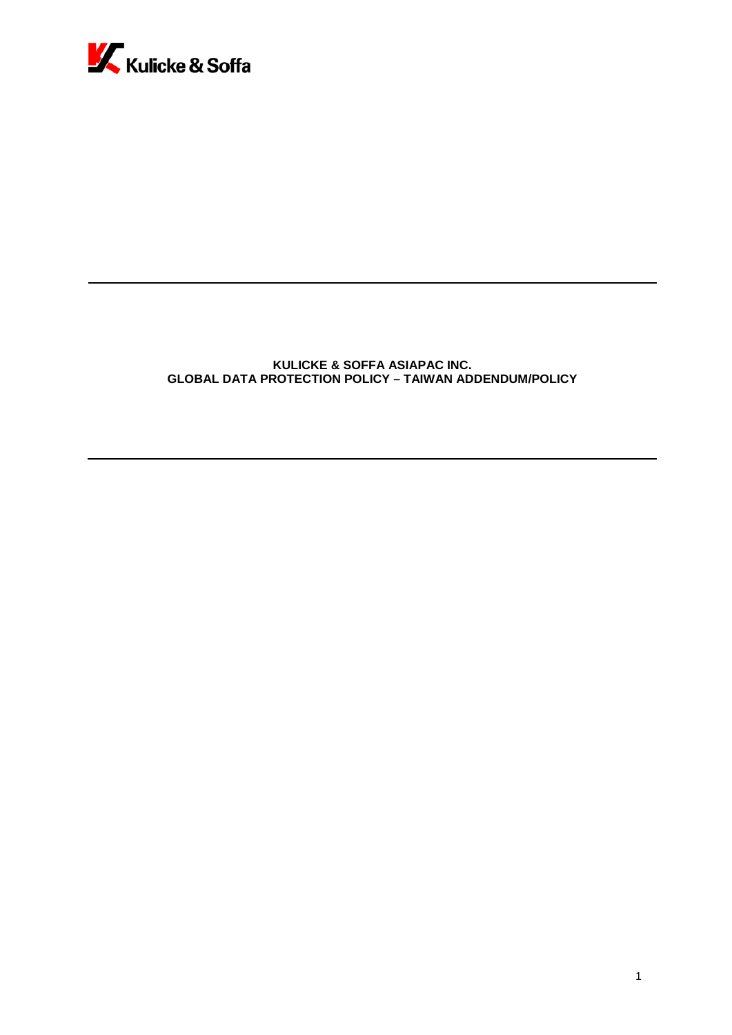

# **KULICKE & SOFFA ASIAPAC INC. GLOBAL DATA PROTECTION POLICY – TAIWAN ADDENDUM/POLICY**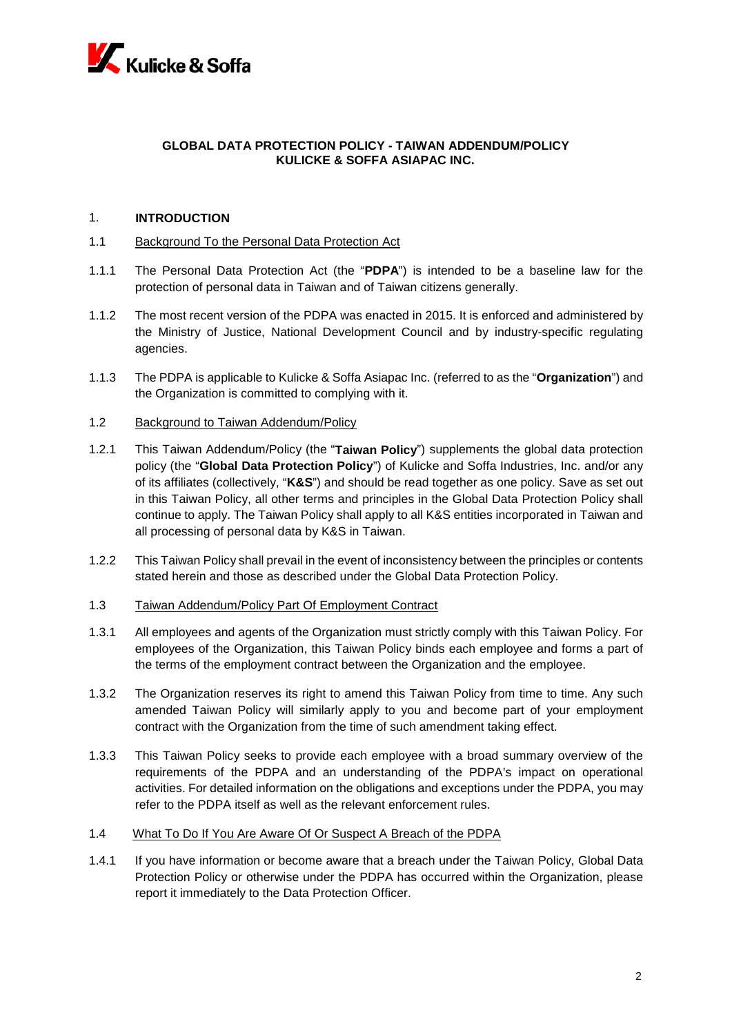

## **GLOBAL DATA PROTECTION POLICY - TAIWAN ADDENDUM/POLICY KULICKE & SOFFA ASIAPAC INC.**

## 1. **INTRODUCTION**

- 1.1 Background To the Personal Data Protection Act
- 1.1.1 The Personal Data Protection Act (the "**PDPA**") is intended to be a baseline law for the protection of personal data in Taiwan and of Taiwan citizens generally.
- 1.1.2 The most recent version of the PDPA was enacted in 2015. It is enforced and administered by the Ministry of Justice, National Development Council and by industry-specific regulating agencies.
- 1.1.3 The PDPA is applicable to Kulicke & Soffa Asiapac Inc. (referred to as the "**Organization**") and the Organization is committed to complying with it.
- 1.2 Background to Taiwan Addendum/Policy
- 1.2.1 This Taiwan Addendum/Policy (the "**Taiwan Policy**") supplements the global data protection policy (the "**Global Data Protection Policy**") of Kulicke and Soffa Industries, Inc. and/or any of its affiliates (collectively, "**K&S**") and should be read together as one policy. Save as set out in this Taiwan Policy, all other terms and principles in the Global Data Protection Policy shall continue to apply. The Taiwan Policy shall apply to all K&S entities incorporated in Taiwan and all processing of personal data by K&S in Taiwan.
- 1.2.2 This Taiwan Policy shall prevail in the event of inconsistency between the principles or contents stated herein and those as described under the Global Data Protection Policy.
- 1.3 Taiwan Addendum/Policy Part Of Employment Contract
- 1.3.1 All employees and agents of the Organization must strictly comply with this Taiwan Policy. For employees of the Organization, this Taiwan Policy binds each employee and forms a part of the terms of the employment contract between the Organization and the employee.
- 1.3.2 The Organization reserves its right to amend this Taiwan Policy from time to time. Any such amended Taiwan Policy will similarly apply to you and become part of your employment contract with the Organization from the time of such amendment taking effect.
- 1.3.3 This Taiwan Policy seeks to provide each employee with a broad summary overview of the requirements of the PDPA and an understanding of the PDPA's impact on operational activities. For detailed information on the obligations and exceptions under the PDPA, you may refer to the PDPA itself as well as the relevant enforcement rules.
- 1.4 What To Do If You Are Aware Of Or Suspect A Breach of the PDPA
- 1.4.1 If you have information or become aware that a breach under the Taiwan Policy, Global Data Protection Policy or otherwise under the PDPA has occurred within the Organization, please report it immediately to the Data Protection Officer.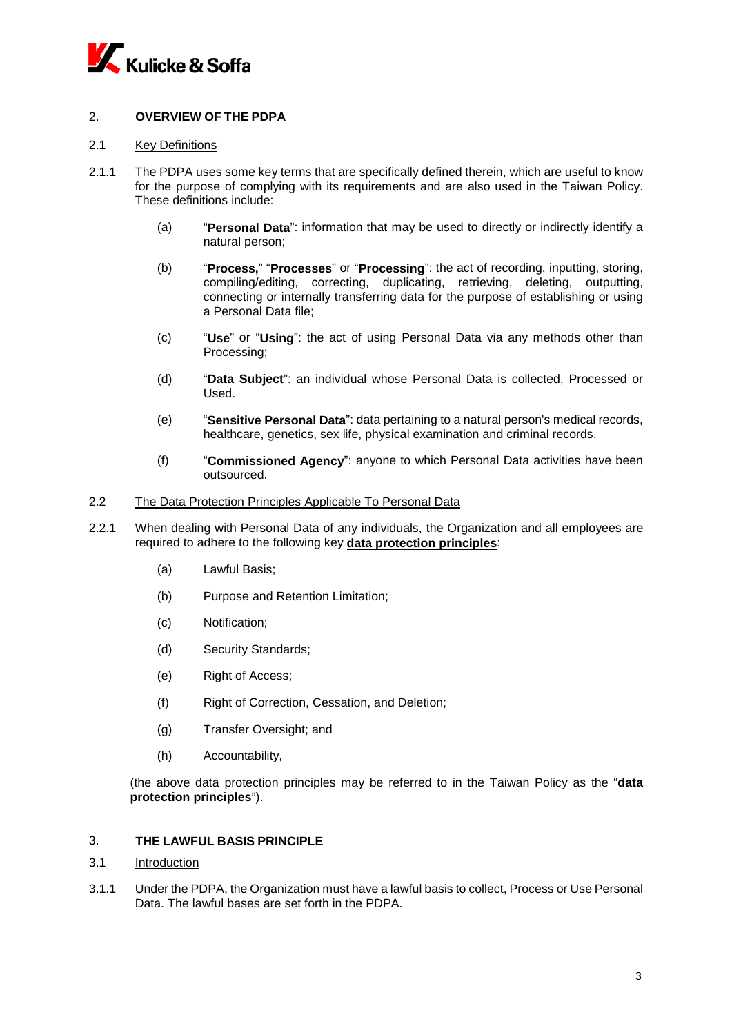

# 2. **OVERVIEW OF THE PDPA**

### 2.1 Key Definitions

- 2.1.1 The PDPA uses some key terms that are specifically defined therein, which are useful to know for the purpose of complying with its requirements and are also used in the Taiwan Policy. These definitions include:
	- (a) "**Personal Data**": information that may be used to directly or indirectly identify a natural person;
	- (b) "**Process,**" "**Processes**" or "**Processing**": the act of recording, inputting, storing, compiling/editing, correcting, duplicating, retrieving, deleting, outputting, connecting or internally transferring data for the purpose of establishing or using a Personal Data file;
	- (c) "**Use**" or "**Using**": the act of using Personal Data via any methods other than Processing;
	- (d) "**Data Subject**": an individual whose Personal Data is collected, Processed or Used.
	- (e) "**Sensitive Personal Data**": data pertaining to a natural person's medical records, healthcare, genetics, sex life, physical examination and criminal records.
	- (f) "**Commissioned Agency**": anyone to which Personal Data activities have been outsourced.

#### 2.2 The Data Protection Principles Applicable To Personal Data

- 2.2.1 When dealing with Personal Data of any individuals, the Organization and all employees are required to adhere to the following key **data protection principles**:
	- (a) Lawful Basis;
	- (b) Purpose and Retention Limitation;
	- (c) Notification;
	- (d) Security Standards;
	- (e) Right of Access;
	- (f) Right of Correction, Cessation, and Deletion;
	- (g) Transfer Oversight; and
	- (h) Accountability,

(the above data protection principles may be referred to in the Taiwan Policy as the "**data protection principles**").

# 3. **THE LAWFUL BASIS PRINCIPLE**

# 3.1 Introduction

3.1.1 Under the PDPA, the Organization must have a lawful basis to collect, Process or Use Personal Data. The lawful bases are set forth in the PDPA.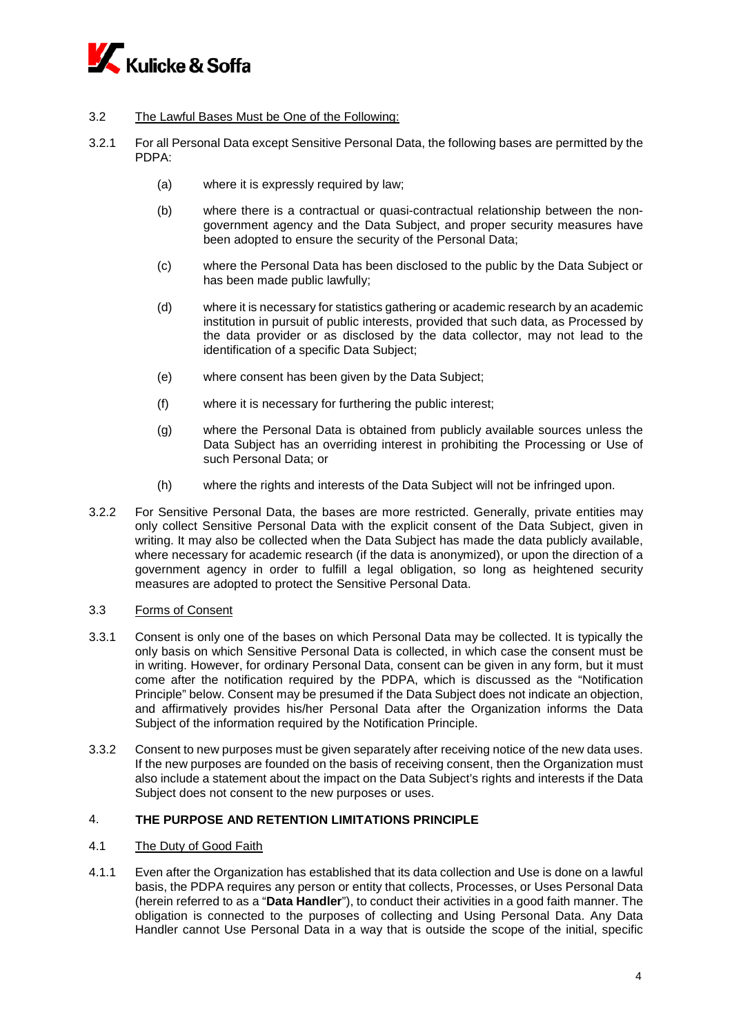

# 3.2 The Lawful Bases Must be One of the Following:

- 3.2.1 For all Personal Data except Sensitive Personal Data, the following bases are permitted by the PDPA:
	- (a) where it is expressly required by law;
	- (b) where there is a contractual or quasi-contractual relationship between the nongovernment agency and the Data Subject, and proper security measures have been adopted to ensure the security of the Personal Data;
	- (c) where the Personal Data has been disclosed to the public by the Data Subject or has been made public lawfully;
	- (d) where it is necessary for statistics gathering or academic research by an academic institution in pursuit of public interests, provided that such data, as Processed by the data provider or as disclosed by the data collector, may not lead to the identification of a specific Data Subject;
	- (e) where consent has been given by the Data Subject;
	- (f) where it is necessary for furthering the public interest;
	- (g) where the Personal Data is obtained from publicly available sources unless the Data Subject has an overriding interest in prohibiting the Processing or Use of such Personal Data; or
	- (h) where the rights and interests of the Data Subject will not be infringed upon.
- 3.2.2 For Sensitive Personal Data, the bases are more restricted. Generally, private entities may only collect Sensitive Personal Data with the explicit consent of the Data Subject, given in writing. It may also be collected when the Data Subject has made the data publicly available, where necessary for academic research (if the data is anonymized), or upon the direction of a government agency in order to fulfill a legal obligation, so long as heightened security measures are adopted to protect the Sensitive Personal Data.

#### 3.3 Forms of Consent

- 3.3.1 Consent is only one of the bases on which Personal Data may be collected. It is typically the only basis on which Sensitive Personal Data is collected, in which case the consent must be in writing. However, for ordinary Personal Data, consent can be given in any form, but it must come after the notification required by the PDPA, which is discussed as the "Notification Principle" below. Consent may be presumed if the Data Subject does not indicate an objection, and affirmatively provides his/her Personal Data after the Organization informs the Data Subject of the information required by the Notification Principle.
- 3.3.2 Consent to new purposes must be given separately after receiving notice of the new data uses. If the new purposes are founded on the basis of receiving consent, then the Organization must also include a statement about the impact on the Data Subject's rights and interests if the Data Subject does not consent to the new purposes or uses.

# 4. **THE PURPOSE AND RETENTION LIMITATIONS PRINCIPLE**

#### 4.1 The Duty of Good Faith

4.1.1 Even after the Organization has established that its data collection and Use is done on a lawful basis, the PDPA requires any person or entity that collects, Processes, or Uses Personal Data (herein referred to as a "**Data Handler**"), to conduct their activities in a good faith manner. The obligation is connected to the purposes of collecting and Using Personal Data. Any Data Handler cannot Use Personal Data in a way that is outside the scope of the initial, specific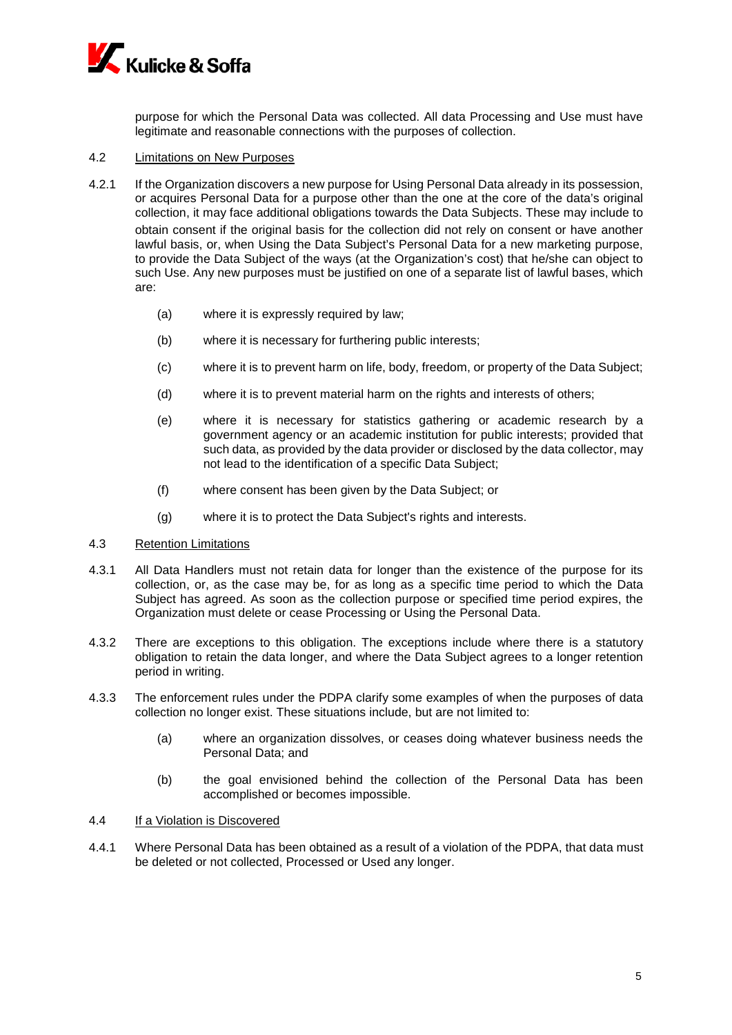

purpose for which the Personal Data was collected. All data Processing and Use must have legitimate and reasonable connections with the purposes of collection.

# 4.2 Limitations on New Purposes

- 4.2.1 If the Organization discovers a new purpose for Using Personal Data already in its possession, or acquires Personal Data for a purpose other than the one at the core of the data's original collection, it may face additional obligations towards the Data Subjects. These may include to obtain consent if the original basis for the collection did not rely on consent or have another lawful basis, or, when Using the Data Subject's Personal Data for a new marketing purpose, to provide the Data Subject of the ways (at the Organization's cost) that he/she can object to such Use. Any new purposes must be justified on one of a separate list of lawful bases, which are:
	- (a) where it is expressly required by law;
	- (b) where it is necessary for furthering public interests;
	- (c) where it is to prevent harm on life, body, freedom, or property of the Data Subject;
	- (d) where it is to prevent material harm on the rights and interests of others;
	- (e) where it is necessary for statistics gathering or academic research by a government agency or an academic institution for public interests; provided that such data, as provided by the data provider or disclosed by the data collector, may not lead to the identification of a specific Data Subject;
	- (f) where consent has been given by the Data Subject; or
	- (g) where it is to protect the Data Subject's rights and interests.
- 4.3 Retention Limitations
- 4.3.1 All Data Handlers must not retain data for longer than the existence of the purpose for its collection, or, as the case may be, for as long as a specific time period to which the Data Subject has agreed. As soon as the collection purpose or specified time period expires, the Organization must delete or cease Processing or Using the Personal Data.
- 4.3.2 There are exceptions to this obligation. The exceptions include where there is a statutory obligation to retain the data longer, and where the Data Subject agrees to a longer retention period in writing.
- 4.3.3 The enforcement rules under the PDPA clarify some examples of when the purposes of data collection no longer exist. These situations include, but are not limited to:
	- (a) where an organization dissolves, or ceases doing whatever business needs the Personal Data; and
	- (b) the goal envisioned behind the collection of the Personal Data has been accomplished or becomes impossible.

#### 4.4 If a Violation is Discovered

4.4.1 Where Personal Data has been obtained as a result of a violation of the PDPA, that data must be deleted or not collected, Processed or Used any longer.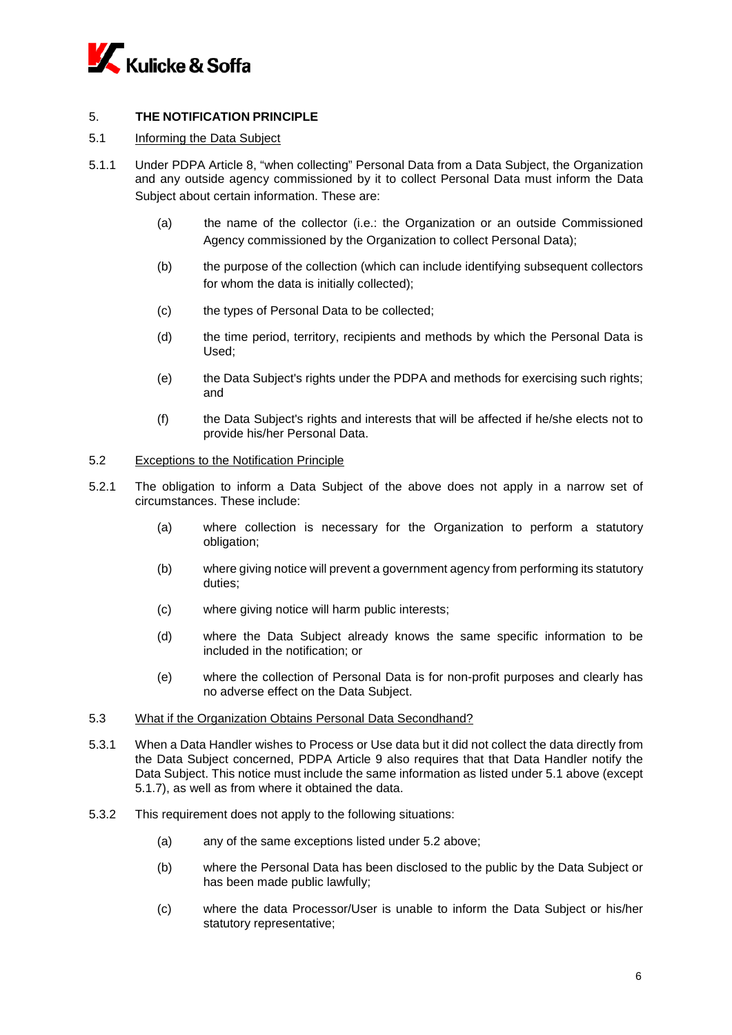

# 5. **THE NOTIFICATION PRINCIPLE**

## 5.1 Informing the Data Subject

- 5.1.1 Under PDPA Article 8, "when collecting" Personal Data from a Data Subject, the Organization and any outside agency commissioned by it to collect Personal Data must inform the Data Subject about certain information. These are:
	- (a) the name of the collector (i.e.: the Organization or an outside Commissioned Agency commissioned by the Organization to collect Personal Data);
	- (b) the purpose of the collection (which can include identifying subsequent collectors for whom the data is initially collected);
	- (c) the types of Personal Data to be collected;
	- (d) the time period, territory, recipients and methods by which the Personal Data is Used;
	- (e) the Data Subject's rights under the PDPA and methods for exercising such rights; and
	- (f) the Data Subject's rights and interests that will be affected if he/she elects not to provide his/her Personal Data.

### 5.2 Exceptions to the Notification Principle

- 5.2.1 The obligation to inform a Data Subject of the above does not apply in a narrow set of circumstances. These include:
	- (a) where collection is necessary for the Organization to perform a statutory obligation;
	- (b) where giving notice will prevent a government agency from performing its statutory duties;
	- (c) where giving notice will harm public interests;
	- (d) where the Data Subject already knows the same specific information to be included in the notification; or
	- (e) where the collection of Personal Data is for non-profit purposes and clearly has no adverse effect on the Data Subject.

### 5.3 What if the Organization Obtains Personal Data Secondhand?

- 5.3.1 When a Data Handler wishes to Process or Use data but it did not collect the data directly from the Data Subject concerned, PDPA Article 9 also requires that that Data Handler notify the Data Subject. This notice must include the same information as listed under 5.1 above (except 5.1.7), as well as from where it obtained the data.
- 5.3.2 This requirement does not apply to the following situations:
	- (a) any of the same exceptions listed under 5.2 above;
	- (b) where the Personal Data has been disclosed to the public by the Data Subject or has been made public lawfully;
	- (c) where the data Processor/User is unable to inform the Data Subject or his/her statutory representative;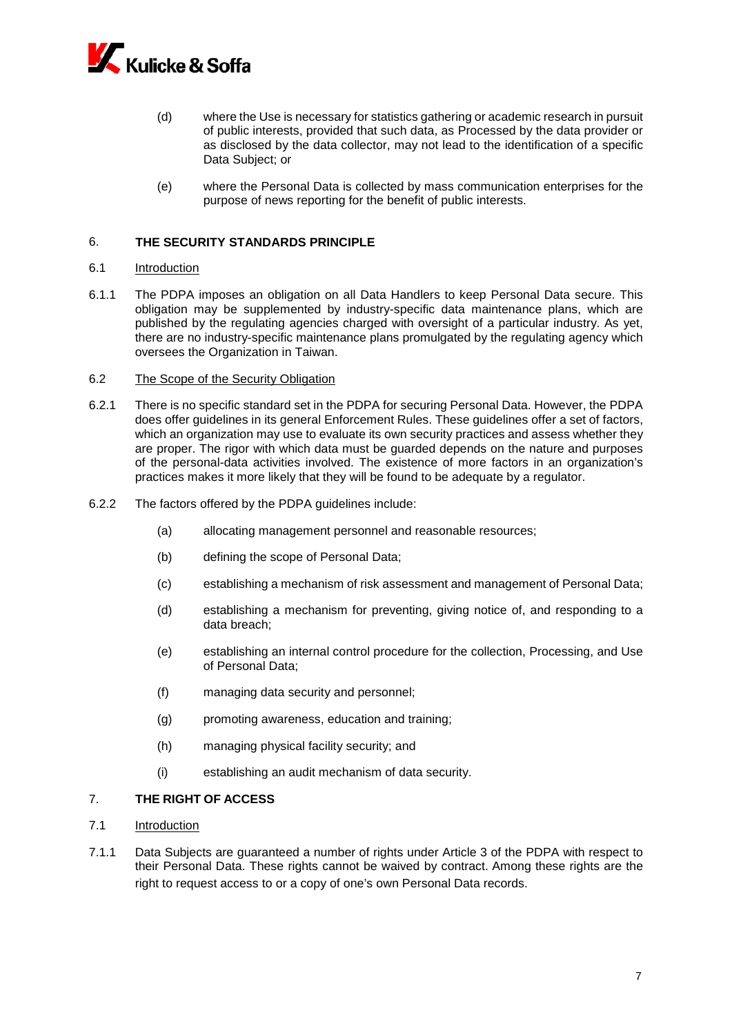

- (d) where the Use is necessary for statistics gathering or academic research in pursuit of public interests, provided that such data, as Processed by the data provider or as disclosed by the data collector, may not lead to the identification of a specific Data Subject; or
- (e) where the Personal Data is collected by mass communication enterprises for the purpose of news reporting for the benefit of public interests.

## 6. **THE SECURITY STANDARDS PRINCIPLE**

#### 6.1 Introduction

6.1.1 The PDPA imposes an obligation on all Data Handlers to keep Personal Data secure. This obligation may be supplemented by industry-specific data maintenance plans, which are published by the regulating agencies charged with oversight of a particular industry. As yet, there are no industry-specific maintenance plans promulgated by the regulating agency which oversees the Organization in Taiwan.

#### 6.2 The Scope of the Security Obligation

- 6.2.1 There is no specific standard set in the PDPA for securing Personal Data. However, the PDPA does offer guidelines in its general Enforcement Rules. These guidelines offer a set of factors, which an organization may use to evaluate its own security practices and assess whether they are proper. The rigor with which data must be guarded depends on the nature and purposes of the personal-data activities involved. The existence of more factors in an organization's practices makes it more likely that they will be found to be adequate by a regulator.
- 6.2.2 The factors offered by the PDPA guidelines include:
	- (a) allocating management personnel and reasonable resources;
	- (b) defining the scope of Personal Data;
	- (c) establishing a mechanism of risk assessment and management of Personal Data;
	- (d) establishing a mechanism for preventing, giving notice of, and responding to a data breach;
	- (e) establishing an internal control procedure for the collection, Processing, and Use of Personal Data;
	- (f) managing data security and personnel;
	- (g) promoting awareness, education and training;
	- (h) managing physical facility security; and
	- (i) establishing an audit mechanism of data security.

## 7. **THE RIGHT OF ACCESS**

- 7.1 Introduction
- 7.1.1 Data Subjects are guaranteed a number of rights under Article 3 of the PDPA with respect to their Personal Data. These rights cannot be waived by contract. Among these rights are the right to request access to or a copy of one's own Personal Data records.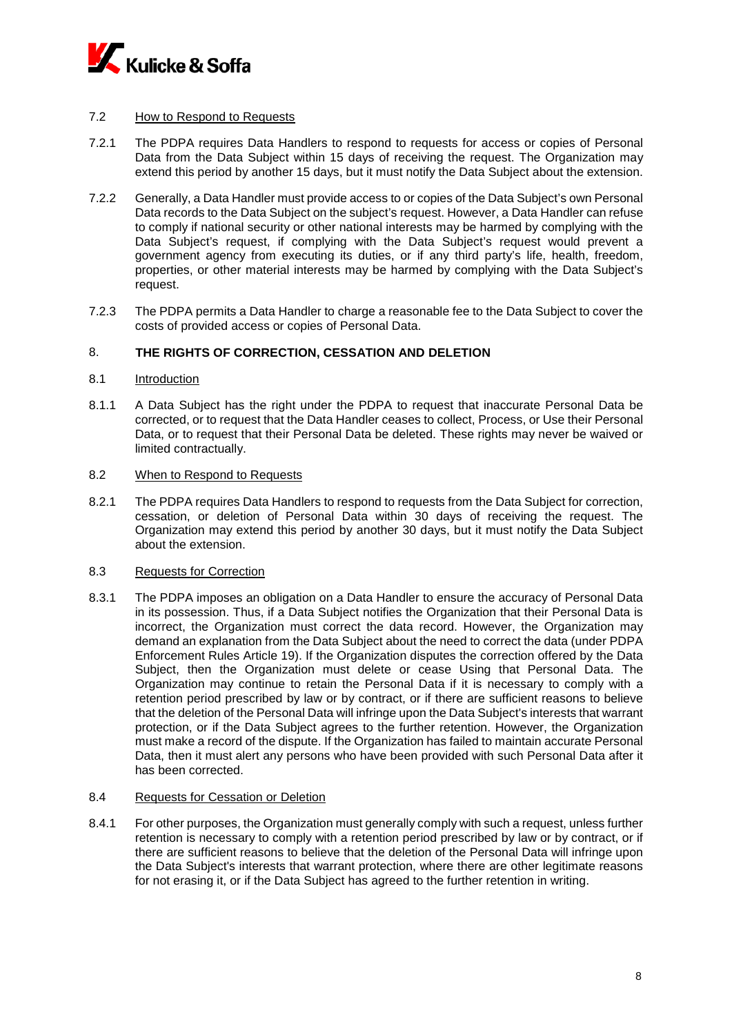

# 7.2 How to Respond to Requests

- 7.2.1 The PDPA requires Data Handlers to respond to requests for access or copies of Personal Data from the Data Subject within 15 days of receiving the request. The Organization may extend this period by another 15 days, but it must notify the Data Subject about the extension.
- 7.2.2 Generally, a Data Handler must provide access to or copies of the Data Subject's own Personal Data records to the Data Subject on the subject's request. However, a Data Handler can refuse to comply if national security or other national interests may be harmed by complying with the Data Subject's request, if complying with the Data Subject's request would prevent a government agency from executing its duties, or if any third party's life, health, freedom, properties, or other material interests may be harmed by complying with the Data Subject's request.
- 7.2.3 The PDPA permits a Data Handler to charge a reasonable fee to the Data Subject to cover the costs of provided access or copies of Personal Data.

## 8. **THE RIGHTS OF CORRECTION, CESSATION AND DELETION**

#### 8.1 Introduction

8.1.1 A Data Subject has the right under the PDPA to request that inaccurate Personal Data be corrected, or to request that the Data Handler ceases to collect, Process, or Use their Personal Data, or to request that their Personal Data be deleted. These rights may never be waived or limited contractually.

#### 8.2 When to Respond to Requests

8.2.1 The PDPA requires Data Handlers to respond to requests from the Data Subject for correction, cessation, or deletion of Personal Data within 30 days of receiving the request. The Organization may extend this period by another 30 days, but it must notify the Data Subject about the extension.

### 8.3 Requests for Correction

8.3.1 The PDPA imposes an obligation on a Data Handler to ensure the accuracy of Personal Data in its possession. Thus, if a Data Subject notifies the Organization that their Personal Data is incorrect, the Organization must correct the data record. However, the Organization may demand an explanation from the Data Subject about the need to correct the data (under PDPA Enforcement Rules Article 19). If the Organization disputes the correction offered by the Data Subject, then the Organization must delete or cease Using that Personal Data. The Organization may continue to retain the Personal Data if it is necessary to comply with a retention period prescribed by law or by contract, or if there are sufficient reasons to believe that the deletion of the Personal Data will infringe upon the Data Subject's interests that warrant protection, or if the Data Subject agrees to the further retention. However, the Organization must make a record of the dispute. If the Organization has failed to maintain accurate Personal Data, then it must alert any persons who have been provided with such Personal Data after it has been corrected.

#### 8.4 Requests for Cessation or Deletion

8.4.1 For other purposes, the Organization must generally comply with such a request, unless further retention is necessary to comply with a retention period prescribed by law or by contract, or if there are sufficient reasons to believe that the deletion of the Personal Data will infringe upon the Data Subject's interests that warrant protection, where there are other legitimate reasons for not erasing it, or if the Data Subject has agreed to the further retention in writing.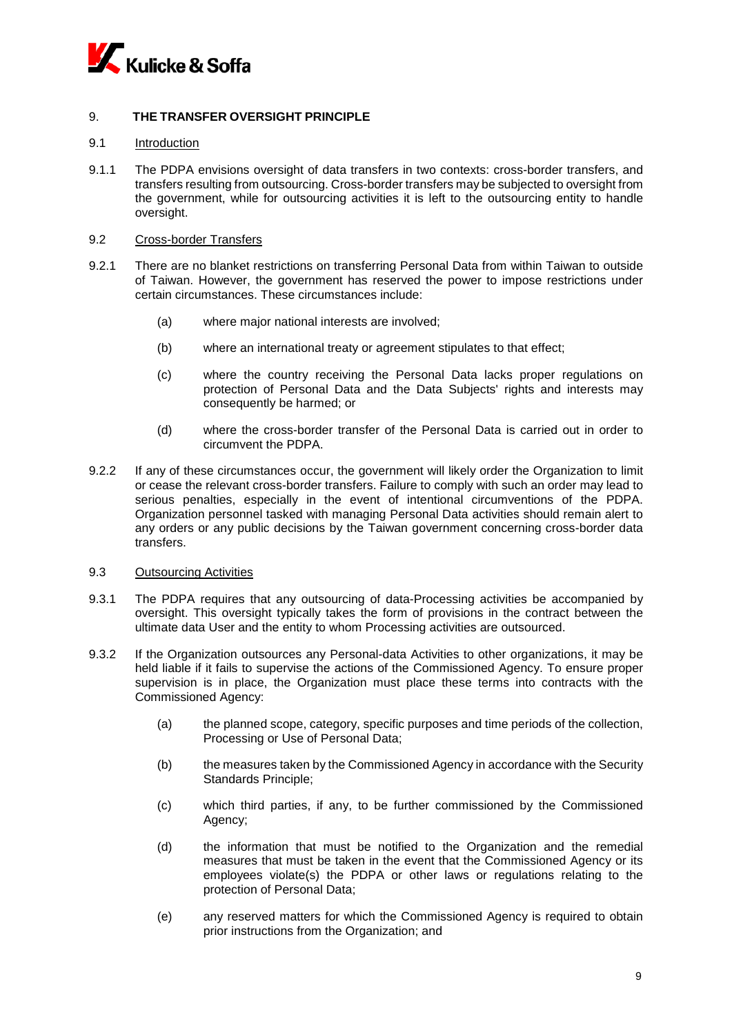

# 9. **THE TRANSFER OVERSIGHT PRINCIPLE**

### 9.1 Introduction

9.1.1 The PDPA envisions oversight of data transfers in two contexts: cross-border transfers, and transfers resulting from outsourcing. Cross-border transfers may be subjected to oversight from the government, while for outsourcing activities it is left to the outsourcing entity to handle oversight.

### 9.2 Cross-border Transfers

- 9.2.1 There are no blanket restrictions on transferring Personal Data from within Taiwan to outside of Taiwan. However, the government has reserved the power to impose restrictions under certain circumstances. These circumstances include:
	- (a) where major national interests are involved;
	- (b) where an international treaty or agreement stipulates to that effect;
	- (c) where the country receiving the Personal Data lacks proper regulations on protection of Personal Data and the Data Subjects' rights and interests may consequently be harmed; or
	- (d) where the cross-border transfer of the Personal Data is carried out in order to circumvent the PDPA.
- 9.2.2 If any of these circumstances occur, the government will likely order the Organization to limit or cease the relevant cross-border transfers. Failure to comply with such an order may lead to serious penalties, especially in the event of intentional circumventions of the PDPA. Organization personnel tasked with managing Personal Data activities should remain alert to any orders or any public decisions by the Taiwan government concerning cross-border data transfers.

## 9.3 Outsourcing Activities

- 9.3.1 The PDPA requires that any outsourcing of data-Processing activities be accompanied by oversight. This oversight typically takes the form of provisions in the contract between the ultimate data User and the entity to whom Processing activities are outsourced.
- 9.3.2 If the Organization outsources any Personal-data Activities to other organizations, it may be held liable if it fails to supervise the actions of the Commissioned Agency. To ensure proper supervision is in place, the Organization must place these terms into contracts with the Commissioned Agency:
	- (a) the planned scope, category, specific purposes and time periods of the collection, Processing or Use of Personal Data;
	- (b) the measures taken by the Commissioned Agency in accordance with the Security Standards Principle;
	- (c) which third parties, if any, to be further commissioned by the Commissioned Agency;
	- (d) the information that must be notified to the Organization and the remedial measures that must be taken in the event that the Commissioned Agency or its employees violate(s) the PDPA or other laws or regulations relating to the protection of Personal Data;
	- (e) any reserved matters for which the Commissioned Agency is required to obtain prior instructions from the Organization; and